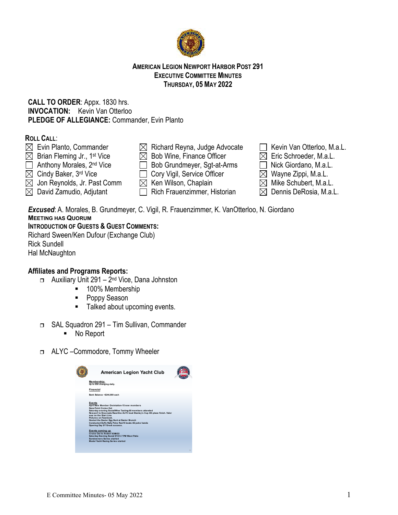

### **AMERICAN LEGION NEWPORT HARBOR POST 291 EXECUTIVE COMMITTEE MINUTES THURSDAY, 05 MAY 2022**

## **CALL TO ORDER**: Appx. 1830 hrs. **INVOCATION:** Kevin Van Otterloo **PLEDGE OF ALLEGIANCE:** Commander, Evin Planto

## **ROLL CALL**:

- $\boxtimes$  Evin Planto, Commander  $\boxtimes$  Richard Reyna, Judge Advocate  $\Box$  Kevin Van Otterloo, M.a.L.  $\boxtimes$  Brian Fleming Jr., 1st Vice  $\boxtimes$  Bob Wine, Finance Officer  $\boxtimes$  Eric Schroeder, M.a.L.
- Anthony Morales, 2<sup>nd</sup> Vice **Bob Grundmeyer, Sgt-at-Arms Nick Giordano, M.a.L.**
- $\boxtimes$  Cindy Baker, 3<sup>rd</sup> Vice  $\Box$  Cory Vigil, Service Officer  $\boxtimes$  Wayne Zippi, M.a.L.
- $\boxtimes$  Jon Reynolds, Jr. Past Comm  $\boxtimes$  Ken Wilson, Chaplain  $\boxtimes$  Mike Schubert, M.a.L.
- $\boxtimes$  David Zamudio, Adjutant  $\qquad \qquad \Box$  Rich Frauenzimmer, Historian  $\qquad \boxtimes$  Dennis DeRosia, M.a.L.
- 
- 
- 
- 
- 
- 
- 
- 
- 
- 

*Excused*: A. Morales, B. Grundmeyer, C. Vigil, R. Frauenzimmer, K. VanOtterloo, N. Giordano **MEETING HAS QUORUM**

# **INTRODUCTION OF GUESTS & GUEST COMMENTS:**

Richard Sween/Ken Dufour (Exchange Club) Rick Sundell Hal McNaughton

# **Affiliates and Programs Reports:**

- $\Box$  Auxiliary Unit 291 2<sup>nd</sup> Vice, Dana Johnston
	- 100% Membership
	- Poppy Season
	- Talked about upcoming events.
- SAL Squadron 291 Tim Sullivan, Commander
	- No Report
- □ ALYC –Commodore, Tommy Wheeler

| <b>American Legion Yacht Club</b>                                                                                                                                                                                                                                                                                                                                                                                      |    |
|------------------------------------------------------------------------------------------------------------------------------------------------------------------------------------------------------------------------------------------------------------------------------------------------------------------------------------------------------------------------------------------------------------------------|----|
| Membership:<br>Up to 850 changing daily.                                                                                                                                                                                                                                                                                                                                                                               |    |
| Financial                                                                                                                                                                                                                                                                                                                                                                                                              |    |
| Bank Balance ~\$244,000 cash                                                                                                                                                                                                                                                                                                                                                                                           |    |
| Events<br>April New Member Oreintation-15 new members<br>Dana Point Cruise Out<br>Saturday evening Social/Wine Tastine 60 members attended<br>New port to Ensenada Race One ALYC boat Stanley's Cup 4th place finish, Valor<br>was on the Start Line<br>Pictures on Facebook.<br>Hosted the Easter Egg Hunt at Easter Brunch<br>Conducted Duffy Raily Poke Run15 boats-82 poke hands<br>Opening Day 5/1 Great success. |    |
| Events coming up<br>Cruise Out to Avalon 5/295/22<br>Saturday Evening Social 5/14 5-7 PM West Patio<br><b>Sundowners Series started</b><br><b>Model Yacht Racing Series started</b>                                                                                                                                                                                                                                    |    |
|                                                                                                                                                                                                                                                                                                                                                                                                                        | 12 |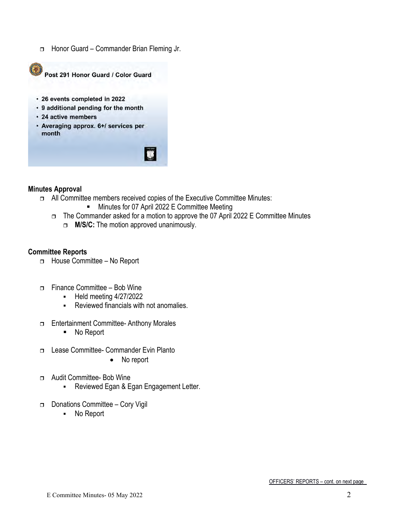□ Honor Guard – Commander Brian Fleming Jr.



Post 291 Honor Guard / Color Guard

- · 26 events completed in 2022
- 9 additional pending for the month
- · 24 active members
- Averaging approx. 6+/ services per month



### **Minutes Approval**

- All Committee members received copies of the Executive Committee Minutes:
	- **Minutes for 07 April 2022 E Committee Meeting**
	- The Commander asked for a motion to approve the 07 April 2022 E Committee Minutes
		- **M/S/C:** The motion approved unanimously.

### **Committee Reports**

- □ House Committee No Report
- Finance Committee Bob Wine
	- $-Held$  meeting  $4/27/2022$
	- Reviewed financials with not anomalies.
- Entertainment Committee- Anthony Morales
	- No Report
- Lease Committee- Commander Evin Planto
	- No report
- □ Audit Committee- Bob Wine
	- **Reviewed Egan & Egan Engagement Letter.**
- Donations Committee Cory Vigil
	- No Report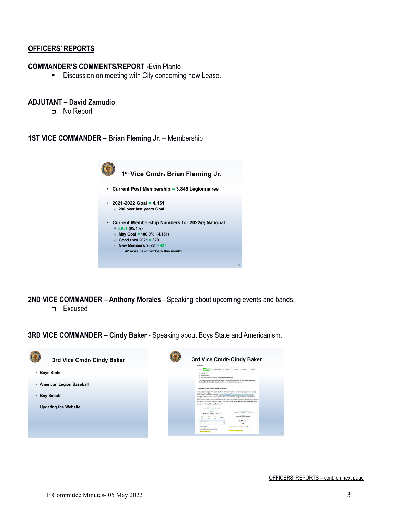#### **OFFICERS' REPORTS**

#### **COMMANDER'S COMMENTS/REPORT -**Evin Planto

**Discussion on meeting with City concerning new Lease.** 

#### **ADJUTANT – David Zamudio**

□ No Report

**1ST VICE COMMANDER – Brian Fleming Jr.** – Membership



**2ND VICE COMMANDER – Anthony Morales** - Speaking about upcoming events and bands.

Excused

**3RD VICE COMMANDER – Cindy Baker** - Speaking about Boys State and Americanism.

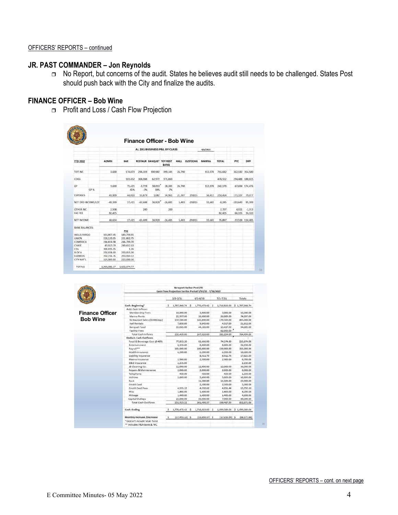## **JR. PAST COMMANDER – Jon Reynolds**

 No Report, but concerns of the audit. States he believes audit still needs to be challenged. States Post should push back with the City and finalize the audits.

### **FINANCE OFFICER – Bob Wine**

**Profit and Loss / Cash Flow Projection** 

|                              |      |                          |                           | AL 291 BUSINESS P&L BY CLASS |                                 |              |        |                | 4/6/2022      |                 |                   |                    |
|------------------------------|------|--------------------------|---------------------------|------------------------------|---------------------------------|--------------|--------|----------------|---------------|-----------------|-------------------|--------------------|
| <b>YTD 2022</b>              |      | <b>ADMIN</b>             | <b>BAR</b>                |                              | <b>RESTAUR BANQUET TOT REST</b> | <b>BANQ</b>  |        | HALL CUSTODIAL | <b>MARINA</b> | <b>TOTAL</b>    | PYC               | DIFF               |
| <b>TOT INC</b>               |      | 3,600                    | 174,873                   | 298,359                      | 100.982                         | 399,341      | 26,790 |                | 112,078       | 716,682         | 362,182 354,500   |                    |
| COGS                         |      |                          | 103.452                   | 308,088                      | 62.972                          | 371,060      |        |                |               | 474.512         | 294.488 180.025   |                    |
| GP                           | GP % | 3.600                    | 71,421<br>41%             | $-9.729$<br>$-3%$            | 38,010<br>38%                   | 28,281<br>7% | 26,790 |                | 112,078       | 242,170         |                   | 67,694 174,476     |
| <b>EXPENSES</b>              |      | 43,909                   | 44.010                    | 53,879                       | 1.082                           | 54.961       | 21,307 | 29.815         | 56.413        | 250,414         | 171,337           | 79,077             |
| NET ORD INCOME/LOS           |      | $-40.309$                | 27,411                    | $-63,608$                    | 36,928                          | $-26,681$    | 5,483  | $-29.815$      | 55,665        | $-8.245$        | $-103,643$        | 95,399             |
| OTHER INC.<br><b>FAC FEE</b> |      | 2,508<br>82.425          |                           | 200                          |                                 | 200          |        |                |               | 2,707<br>82,425 | 4.021<br>66,105   | $-1.313$<br>16,320 |
| NET INCOME                   |      | 44.624                   | 27,411                    | $-63,409$                    | 36,928                          | $-26.481$    | 5,483  | $-29,815$      | 55.665        | 76,887          | $-33.518$ 110.405 |                    |
| <b>BANK BALANCES:</b>        |      |                          |                           |                              |                                 |              |        |                |               |                 |                   |                    |
|                              |      |                          | PYC                       |                              |                                 |              |        |                |               |                 |                   |                    |
| <b>WELLS FARGO</b>           |      | 351,807.45               | 183,739.91                |                              |                                 |              |        |                |               |                 |                   |                    |
| <b>UNION</b><br>COMERICA     |      | 228,130.05<br>246,834.98 | 211.862.75<br>246,709.70  |                              |                                 |              |        |                |               |                 |                   |                    |
| CHASE                        |      | 49.023.39                | 249,652.63                |                              |                                 |              |        |                |               |                 |                   |                    |
| CDs                          |      | 300,015.15               | 1.26                      |                              |                                 |              |        |                |               |                 |                   |                    |
| <b>B OF A</b>                |      | 250,038.00               | 250,015.00                |                              |                                 |              |        |                |               |                 |                   |                    |
| <b>FARMERS</b>               |      | 250.236.35               | 250.093.52                |                              |                                 |              |        |                |               |                 |                   |                    |
| CITY NAT'L                   |      | 225,000.00               | 210,000.00                |                              |                                 |              |        |                |               |                 |                   |                    |
| <b>TOTALS</b>                |      |                          | 1,901,085,37 1,602,074,77 |                              |                                 |              |        |                |               |                 |                   |                    |

|                        | <b>Newport Harbor Post 291</b><br>Cash Flow Projection for the Period 5/03/22 - 7/31/2022 |              |                 |   |                  |              |                              |  |                |  |
|------------------------|-------------------------------------------------------------------------------------------|--------------|-----------------|---|------------------|--------------|------------------------------|--|----------------|--|
|                        |                                                                                           | $5/3 - 5/31$ |                 |   | $6/1 - 6/30$     | $7/1 - 7/31$ |                              |  | Totals         |  |
|                        | Cash: Beginning*                                                                          | s.           | 1,787,966.74    | s | 1,770,473.42 \$  |              | 1,716,823.05                 |  | \$1,787,966.74 |  |
|                        | Add: Cash Inflows                                                                         |              |                 |   |                  |              |                              |  |                |  |
| <b>Finance Officer</b> | Membership Fees                                                                           |              | 10,000.00       |   | 3,000.00         |              | 3,000.00                     |  | 16,000.00      |  |
|                        | <b>Marina Rents</b>                                                                       |              | 22,997.00       |   | 26,000.00        |              | 26,000.00                    |  | 74,997.00      |  |
| <b>Bob Wine</b>        | Restaurant Sales (\$5500/day)                                                             |              | 159,500.00      |   | 165,000.00       |              | 170,500.00                   |  | 495,000.00     |  |
|                        | <b>Hall Rentals</b>                                                                       |              | 7,850.00        |   | 9.645.00         |              | 4,317.00                     |  | 21,812.00      |  |
|                        | <b>Banquet Food</b>                                                                       |              | 35,083.00       |   | 44,165.00        |              | 15,437.00                    |  | 94,685.00      |  |
|                        | <b>Facility Fees</b>                                                                      |              |                 |   |                  |              | 62,000.00                    |  |                |  |
|                        | <b>Total Cash Inflows</b>                                                                 |              | 235,430.00      |   | 247,810.00       |              | 281.254.00                   |  | 764,494.00     |  |
|                        | <b>Deduct: Cash Outflows</b>                                                              |              |                 |   |                  |              |                              |  |                |  |
|                        | Food & Beverage Cost @ 40%                                                                |              | 77,833.20       |   | 83,666.00        |              | 74,374.80                    |  | 235,874.00     |  |
|                        | Entertainment                                                                             |              | 8,350.00        |   | 8,000.00         |              | \$,000.00                    |  | 24,350.00      |  |
|                        | Payroll**                                                                                 |              | 105,000.00      |   | 100,000.00       |              | 150,000.00                   |  | 355,000.00     |  |
|                        | Health Insurance                                                                          |              | 6,200.00        |   | 6,200.00         |              | 6,200.00                     |  | 18,600.00      |  |
|                        | Liability insurance                                                                       |              |                 |   | 8.911.75         |              | 8.911.75                     |  | 17,823.50      |  |
|                        | Marina Insurance                                                                          |              | 2,900.00        |   | 2,900.00         |              | 2,900.00                     |  | 8,700.00       |  |
|                        | D&O Insurance                                                                             |              | 2,235.00        |   |                  |              |                              |  | 2,235.00       |  |
|                        | JB Cleaning Co.                                                                           |              | 12,000.00       |   | 12,000.00        |              | 12,000.00                    |  | 36,000.00      |  |
|                        | Repairs & Maintenance                                                                     |              | 2,000.00        |   | 2,000.00         |              | 2,000.00                     |  | 6,000.00       |  |
|                        | <b>Telephone</b>                                                                          |              | 450.00          |   | 450.00           |              | 450.00                       |  | 1,350.00       |  |
|                        | Utilities                                                                                 |              | 5,600.00        |   | 5,600.00         |              | 5,600.00                     |  | 16,800.00      |  |
|                        | Rent                                                                                      |              |                 |   | 11,500.00        |              | 11,500.00                    |  | 23,000.00      |  |
|                        | <b>Credit Card</b>                                                                        |              |                 |   | 2,500.00         |              | 2,500.00                     |  | 5,000.00       |  |
|                        | Credit Card Fees                                                                          |              | 4,555.12        |   | 4.932.62         |              | 4,251.44                     |  | 13,739.18      |  |
|                        | Misc                                                                                      |              | 1,400.00        |   | 1,400.00         |              | 1,400.00                     |  | 4,200.00       |  |
|                        | Mileage                                                                                   |              | 1,400.00        |   | 1,400.00         |              | 1,400.00                     |  | 4,200.00       |  |
|                        | Capital Outlays                                                                           |              | 23,000.00       |   | 50,000.00        |              | 7,000.00                     |  | 80,000.00      |  |
|                        | <b>Total Cash Outflows</b>                                                                |              | 252,923.32      |   | 301,460.37       |              | 298,487.99                   |  | 852,871.68     |  |
|                        | Cash: Ending                                                                              | s            | 1,770,473.42 \$ |   | 1,716,823.05 \$  |              | 1,699,589.06 \$ 1,699,589.06 |  |                |  |
|                        | <b>Monthly Increase /Decrease</b>                                                         | S            | $(17,493.32)$ S |   | $(53,650.37)$ \$ |              | $(17, 233.99)$ S             |  | (88, 377, 68)  |  |
|                        | * Doesn't include VEAF fund                                                               |              |                 |   |                  |              |                              |  |                |  |
|                        | ** Includes P&R taxes & WC                                                                |              |                 |   |                  |              |                              |  |                |  |

34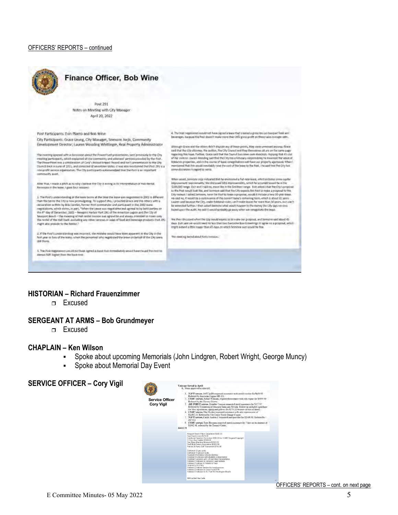#### OFFICERS' REPORTS – continued



#### **HISTORIAN – Richard Frauenzimmer**

Excused

#### **SERGEANT AT ARMS – Bob Grundmeyer**

Excused

#### **CHAPLAIN – Ken Wilson**

- Spoke about upcoming Memorials (John Lindgren, Robert Wright, George Muncy)
- Spoke about Memorial Day Event

### **SERVICE OFFICER – Cory Vigil**

| <b>Service Officer</b><br><b>Cory Vigil</b> | Veteraar Served in April:<br>litems approved or rejected<br>1. NAVY vateran, Jeff Unddle experient assistants with morel voictier for \$610.00.<br>Referred by American Lagran HH 113.<br>USMC voteran, Arthur Williams: requested assistance with suto repair for \$4000.00<br>Referred to the Timmer Center.<br>AIR FORCE veteran: Lonrdes Vasquez respected providenments for \$32.7.81.<br>Referred by Volunteers of America Santa ana Nevada Fouow up mchaled a purchase<br>Sw hlow ap mattress, sheets and pillives for \$274.21 Secause of size of family.<br>L'SMC ventrem. Dan Hooker requested assistance with auto repositossion of<br>\$1.692.24 Referred by Vet Center North Orange County.<br>NAVY vateras, Carlos Audres C respected auto past due for \$1446.00. Referred by<br>$00 - 111$<br>J. S.MC veteran, Tem Boyaton requested movel assistance for 7 days to the amount of<br>\$1002.46, referred by the Termer Gener,<br>56212.72 |
|---------------------------------------------|-----------------------------------------------------------------------------------------------------------------------------------------------------------------------------------------------------------------------------------------------------------------------------------------------------------------------------------------------------------------------------------------------------------------------------------------------------------------------------------------------------------------------------------------------------------------------------------------------------------------------------------------------------------------------------------------------------------------------------------------------------------------------------------------------------------------------------------------------------------------------------------------------------------------------------------------------------------|
|                                             | Newport Beach Police Department \$500.00<br>Seal Beach Lions \$279.00<br>Emotional Freedom Curriculum \$200.00 for HUMV Program/Copyright<br>FLTero Sea Cadats \$2500.00<br>San Diego Maritime Museum \$2500.00<br>Swift Boat Sailors Association \$2500.00<br>Patricts & Paws Golf Tournament \$740.00.<br>Delivered 12 gas cards.<br>Delivered 10 grocery cards.<br>Assisted 3 homeless veterans/families.<br>Assisted 10 veterans with disability compensation.<br>Assisted 2 veterans with Lyft and Uber transportation.<br>Referred 2 veterans to Veterans Legal Institute<br>Referred 1 veteran to Patriots & Paws<br>Ordered 5 DD-214's<br>Referred 2 veteran families for burial services.<br>Referred 2 veterans to Dana Point VEW<br>Referred 2 veterans to AL Post 133 Huntington Beach.<br>\$800 in Shell Gas Cards.                                                                                                                          |